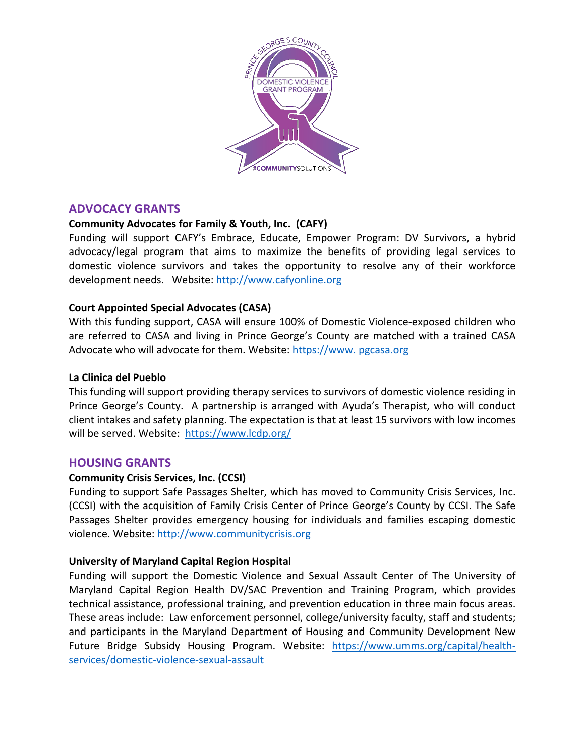

# **ADVOCACY GRANTS**

# **Community Advocates for Family & Youth, Inc. (CAFY)**

Funding will support CAFY's Embrace, Educate, Empower Program: DV Survivors, a hybrid advocacy/legal program that aims to maximize the benefits of providing legal services to domestic violence survivors and takes the opportunity to resolve any of their workforce development needs. Website: http://www.cafyonline.org

# **Court Appointed Special Advocates (CASA)**

With this funding support, CASA will ensure 100% of Domestic Violence-exposed children who are referred to CASA and living in Prince George's County are matched with a trained CASA Advocate who will advocate for them. Website: https://www. pgcasa.org

### **La Clinica del Pueblo**

This funding will support providing therapy services to survivors of domestic violence residing in Prince George's County. A partnership is arranged with Ayuda's Therapist, who will conduct client intakes and safety planning. The expectation is that at least 15 survivors with low incomes will be served. Website: https://www.lcdp.org/

## **HOUSING GRANTS**

## **Community Crisis Services, Inc. (CCSI)**

Funding to support Safe Passages Shelter, which has moved to Community Crisis Services, Inc. (CCSI) with the acquisition of Family Crisis Center of Prince George's County by CCSI. The Safe Passages Shelter provides emergency housing for individuals and families escaping domestic violence. Website: http://www.communitycrisis.org

## **University of Maryland Capital Region Hospital**

Funding will support the Domestic Violence and Sexual Assault Center of The University of Maryland Capital Region Health DV/SAC Prevention and Training Program, which provides technical assistance, professional training, and prevention education in three main focus areas. These areas include: Law enforcement personnel, college/university faculty, staff and students; and participants in the Maryland Department of Housing and Community Development New Future Bridge Subsidy Housing Program. Website: https://www.umms.org/capital/healthservices/domestic-violence-sexual-assault